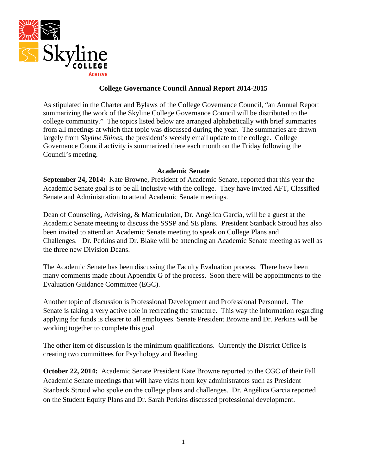

### **College Governance Council Annual Report 2014-2015**

As stipulated in the Charter and Bylaws of the College Governance Council, "an Annual Report summarizing the work of the Skyline College Governance Council will be distributed to the college community." The topics listed below are arranged alphabetically with brief summaries from all meetings at which that topic was discussed during the year. The summaries are drawn largely from *Skyline Shines*, the president's weekly email update to the college. College Governance Council activity is summarized there each month on the Friday following the Council's meeting.

#### **Academic Senate**

**September 24, 2014:** Kate Browne, President of Academic Senate, reported that this year the Academic Senate goal is to be all inclusive with the college. They have invited AFT, Classified Senate and Administration to attend Academic Senate meetings.

Dean of Counseling, Advising, & Matriculation, Dr. Angélica Garcia, will be a guest at the Academic Senate meeting to discuss the SSSP and SE plans. President Stanback Stroud has also been invited to attend an Academic Senate meeting to speak on College Plans and Challenges. Dr. Perkins and Dr. Blake will be attending an Academic Senate meeting as well as the three new Division Deans.

The Academic Senate has been discussing the Faculty Evaluation process. There have been many comments made about Appendix G of the process. Soon there will be appointments to the Evaluation Guidance Committee (EGC).

Another topic of discussion is Professional Development and Professional Personnel. The Senate is taking a very active role in recreating the structure. This way the information regarding applying for funds is clearer to all employees. Senate President Browne and Dr. Perkins will be working together to complete this goal.

The other item of discussion is the minimum qualifications. Currently the District Office is creating two committees for Psychology and Reading.

**October 22, 2014:** Academic Senate President Kate Browne reported to the CGC of their Fall Academic Senate meetings that will have visits from key administrators such as President Stanback Stroud who spoke on the college plans and challenges. Dr. Angélica Garcia reported on the Student Equity Plans and Dr. Sarah Perkins discussed professional development.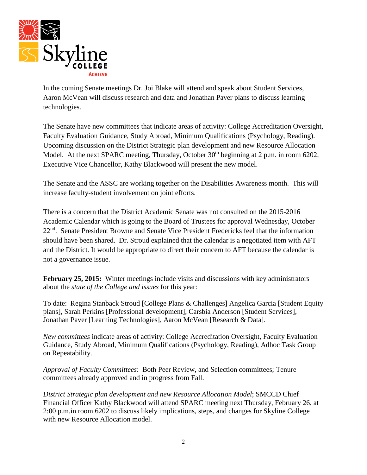

In the coming Senate meetings Dr. Joi Blake will attend and speak about Student Services, Aaron McVean will discuss research and data and Jonathan Paver plans to discuss learning technologies.

The Senate have new committees that indicate areas of activity: College Accreditation Oversight, Faculty Evaluation Guidance, Study Abroad, Minimum Qualifications (Psychology, Reading). Upcoming discussion on the District Strategic plan development and new Resource Allocation Model. At the next SPARC meeting, Thursday, October 30<sup>th</sup> beginning at 2 p.m. in room 6202, Executive Vice Chancellor, Kathy Blackwood will present the new model.

The Senate and the ASSC are working together on the Disabilities Awareness month. This will increase faculty-student involvement on joint efforts.

There is a concern that the District Academic Senate was not consulted on the 2015-2016 Academic Calendar which is going to the Board of Trustees for approval Wednesday, October 22<sup>nd</sup>. Senate President Browne and Senate Vice President Fredericks feel that the information should have been shared. Dr. Stroud explained that the calendar is a negotiated item with AFT and the District. It would be appropriate to direct their concern to AFT because the calendar is not a governance issue.

**February 25, 2015:** Winter meetings include visits and discussions with key administrators about the *state of the College and issues* for this year:

To date: Regina Stanback Stroud [College Plans & Challenges] Angelica Garcia [Student Equity plans], Sarah Perkins [Professional development], Carsbia Anderson [Student Services], Jonathan Paver [Learning Technologies], Aaron McVean [Research & Data].

*New committees* indicate areas of activity: College Accreditation Oversight, Faculty Evaluation Guidance, Study Abroad, Minimum Qualifications (Psychology, Reading), Adhoc Task Group on Repeatability.

*Approval of Faculty Committees*: Both Peer Review, and Selection committees; Tenure committees already approved and in progress from Fall.

*District Strategic plan development and new Resource Allocation Model*; SMCCD Chief Financial Officer Kathy Blackwood will attend SPARC meeting next Thursday, February 26, at 2:00 p.m.in room 6202 to discuss likely implications, steps, and changes for Skyline College with new Resource Allocation model.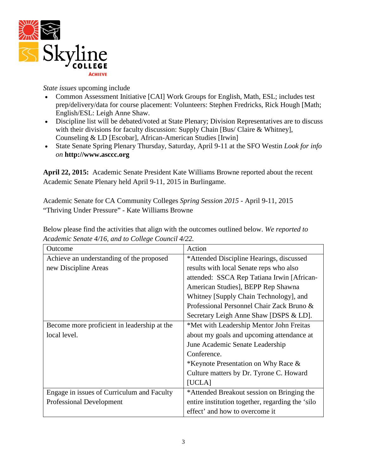

*State issues* upcoming include

- Common Assessment Initiative [CAI] Work Groups for English, Math, ESL; includes test prep/delivery/data for course placement: Volunteers: Stephen Fredricks, Rick Hough [Math; English/ESL: Leigh Anne Shaw.
- Discipline list will be debated/voted at State Plenary; Division Representatives are to discuss with their divisions for faculty discussion: Supply Chain [Bus/ Claire & Whitney], Counseling & LD [Escobar], African-American Studies [Irwin]
- State Senate Spring Plenary Thursday, Saturday, April 9-11 at the SFO Westin *Look for info on* **http://www.asccc.org**

**April 22, 2015:** Academic Senate President Kate Williams Browne reported about the recent Academic Senate Plenary held April 9-11, 2015 in Burlingame.

Academic Senate for CA Community Colleges *Spring Session 2015* - April 9-11, 2015 "Thriving Under Pressure" - Kate Williams Browne

| Outcome                                     | Action                                           |
|---------------------------------------------|--------------------------------------------------|
| Achieve an understanding of the proposed    | *Attended Discipline Hearings, discussed         |
| new Discipline Areas                        | results with local Senate reps who also          |
|                                             | attended: SSCA Rep Tatiana Irwin [African-       |
|                                             | American Studies], BEPP Rep Shawna               |
|                                             | Whitney [Supply Chain Technology], and           |
|                                             | Professional Personnel Chair Zack Bruno &        |
|                                             | Secretary Leigh Anne Shaw [DSPS & LD].           |
| Become more proficient in leadership at the | *Met with Leadership Mentor John Freitas         |
| local level.                                | about my goals and upcoming attendance at        |
|                                             | June Academic Senate Leadership                  |
|                                             | Conference.                                      |
|                                             | *Keynote Presentation on Why Race &              |
|                                             | Culture matters by Dr. Tyrone C. Howard          |
|                                             | [UCLA]                                           |
| Engage in issues of Curriculum and Faculty  | *Attended Breakout session on Bringing the       |
| <b>Professional Development</b>             | entire institution together, regarding the 'silo |
|                                             | effect' and how to overcome it                   |

Below please find the activities that align with the outcomes outlined below. *We reported to Academic Senate 4/16, and to College Council 4/22.*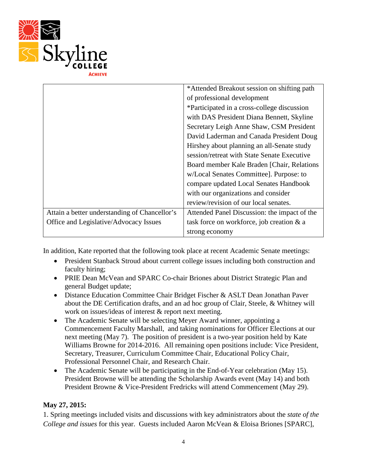

|                                               | *Attended Breakout session on shifting path  |
|-----------------------------------------------|----------------------------------------------|
|                                               | of professional development                  |
|                                               | *Participated in a cross-college discussion  |
|                                               | with DAS President Diana Bennett, Skyline    |
|                                               | Secretary Leigh Anne Shaw, CSM President     |
|                                               | David Laderman and Canada President Doug     |
|                                               | Hirshey about planning an all-Senate study   |
|                                               | session/retreat with State Senate Executive  |
|                                               | Board member Kale Braden [Chair, Relations]  |
|                                               | w/Local Senates Committee]. Purpose: to      |
|                                               | compare updated Local Senates Handbook       |
|                                               | with our organizations and consider          |
|                                               | review/revision of our local senates.        |
| Attain a better understanding of Chancellor's | Attended Panel Discussion: the impact of the |
| Office and Legislative/Advocacy Issues        | task force on workforce, job creation & a    |
|                                               | strong economy                               |

In addition, Kate reported that the following took place at recent Academic Senate meetings:

- President Stanback Stroud about current college issues including both construction and faculty hiring;
- PRIE Dean McVean and SPARC Co-chair Briones about District Strategic Plan and general Budget update;
- Distance Education Committee Chair Bridget Fischer & ASLT Dean Jonathan Paver about the DE Certification drafts, and an ad hoc group of Clair, Steele, & Whitney will work on issues/ideas of interest & report next meeting.
- The Academic Senate will be selecting Meyer Award winner, appointing a Commencement Faculty Marshall, and taking nominations for Officer Elections at our next meeting (May 7). The position of president is a two-year position held by Kate Williams Browne for 2014-2016. All remaining open positions include: Vice President, Secretary, Treasurer, Curriculum Committee Chair, Educational Policy Chair, Professional Personnel Chair, and Research Chair.
- The Academic Senate will be participating in the End-of-Year celebration (May 15). President Browne will be attending the Scholarship Awards event (May 14) and both President Browne & Vice-President Fredricks will attend Commencement (May 29).

## **May 27, 2015:**

1. Spring meetings included visits and discussions with key administrators about the *state of the College and issues* for this year. Guests included Aaron McVean & Eloisa Briones [SPARC],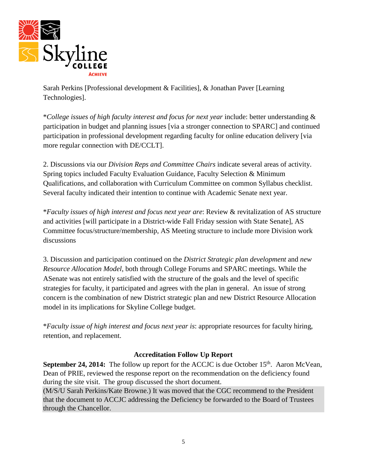

Sarah Perkins [Professional development & Facilities], & Jonathan Paver [Learning Technologies].

\**College issues of high faculty interest and focus for next year* include: better understanding & participation in budget and planning issues [via a stronger connection to SPARC] and continued participation in professional development regarding faculty for online education delivery [via more regular connection with DE/CCLT].

2. Discussions via our *Division Reps and Committee Chairs* indicate several areas of activity. Spring topics included Faculty Evaluation Guidance, Faculty Selection & Minimum Qualifications, and collaboration with Curriculum Committee on common Syllabus checklist. Several faculty indicated their intention to continue with Academic Senate next year.

\**Faculty issues of high interest and focus next year are*: Review & revitalization of AS structure and activities [will participate in a District-wide Fall Friday session with State Senate], AS Committee focus/structure/membership, AS Meeting structure to include more Division work discussions

3. Discussion and participation continued on the *District Strategic plan development* and *new Resource Allocation Model*, both through College Forums and SPARC meetings. While the ASenate was not entirely satisfied with the structure of the goals and the level of specific strategies for faculty, it participated and agrees with the plan in general. An issue of strong concern is the combination of new District strategic plan and new District Resource Allocation model in its implications for Skyline College budget.

\**Faculty issue of high interest and focus next year is*: appropriate resources for faculty hiring, retention, and replacement.

## **Accreditation Follow Up Report**

**September 24, 2014:** The follow up report for the ACCJC is due October 15<sup>th</sup>. Aaron McVean, Dean of PRIE, reviewed the response report on the recommendation on the deficiency found during the site visit. The group discussed the short document.

(M/S/U Sarah Perkins/Kate Browne.) It was moved that the CGC recommend to the President that the document to ACCJC addressing the Deficiency be forwarded to the Board of Trustees through the Chancellor.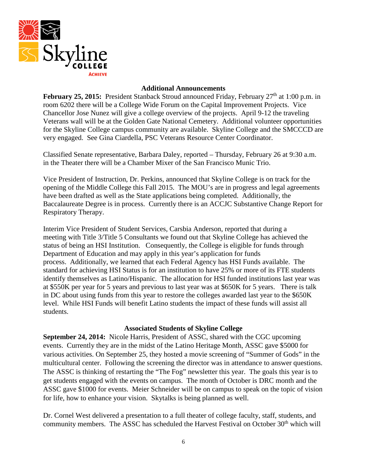

#### **Additional Announcements**

**February 25, 2015:** President Stanback Stroud announced Friday, February 27<sup>th</sup> at 1:00 p.m. in room 6202 there will be a College Wide Forum on the Capital Improvement Projects. Vice Chancellor Jose Nunez will give a college overview of the projects. April 9-12 the traveling Veterans wall will be at the Golden Gate National Cemetery. Additional volunteer opportunities for the Skyline College campus community are available. Skyline College and the SMCCCD are very engaged. See Gina Ciardella, PSC Veterans Resource Center Coordinator.

Classified Senate representative, Barbara Daley, reported – Thursday, February 26 at 9:30 a.m. in the Theater there will be a Chamber Mixer of the San Francisco Munic Trio.

Vice President of Instruction, Dr. Perkins, announced that Skyline College is on track for the opening of the Middle College this Fall 2015. The MOU's are in progress and legal agreements have been drafted as well as the State applications being completed. Additionally, the Baccalaureate Degree is in process. Currently there is an ACCJC Substantive Change Report for Respiratory Therapy.

Interim Vice President of Student Services, Carsbia Anderson, reported that during a meeting with Title 3/Title 5 Consultants we found out that Skyline College has achieved the status of being an HSI Institution. Consequently, the College is eligible for funds through Department of Education and may apply in this year's application for funds process. Additionally, we learned that each Federal Agency has HSI Funds available. The standard for achieving HSI Status is for an institution to have 25% or more of its FTE students identify themselves as Latino/Hispanic. The allocation for HSI funded institutions last year was at \$550K per year for 5 years and previous to last year was at \$650K for 5 years. There is talk in DC about using funds from this year to restore the colleges awarded last year to the \$650K level. While HSI Funds will benefit Latino students the impact of these funds will assist all students.

#### **Associated Students of Skyline College**

**September 24, 2014:** Nicole Harris, President of ASSC, shared with the CGC upcoming events. Currently they are in the midst of the Latino Heritage Month, ASSC gave \$5000 for various activities. On September 25, they hosted a movie screening of "Summer of Gods" in the multicultural center. Following the screening the director was in attendance to answer questions. The ASSC is thinking of restarting the "The Fog" newsletter this year. The goals this year is to get students engaged with the events on campus. The month of October is DRC month and the ASSC gave \$1000 for events. Meier Schneider will be on campus to speak on the topic of vision for life, how to enhance your vision. Skytalks is being planned as well.

Dr. Cornel West delivered a presentation to a full theater of college faculty, staff, students, and community members. The ASSC has scheduled the Harvest Festival on October 30<sup>th</sup> which will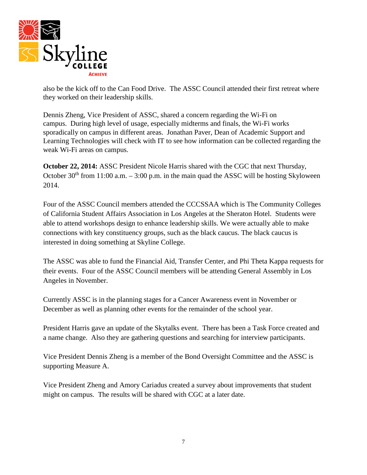

also be the kick off to the Can Food Drive. The ASSC Council attended their first retreat where they worked on their leadership skills.

Dennis Zheng, Vice President of ASSC, shared a concern regarding the Wi-Fi on campus. During high level of usage, especially midterms and finals, the Wi-Fi works sporadically on campus in different areas. Jonathan Paver, Dean of Academic Support and Learning Technologies will check with IT to see how information can be collected regarding the weak Wi-Fi areas on campus.

**October 22, 2014:** ASSC President Nicole Harris shared with the CGC that next Thursday, October  $30<sup>th</sup>$  from 11:00 a.m.  $-3:00$  p.m. in the main quad the ASSC will be hosting Skyloween 2014.

Four of the ASSC Council members attended the CCCSSAA which is The Community Colleges of California Student Affairs Association in Los Angeles at the Sheraton Hotel. Students were able to attend workshops design to enhance leadership skills. We were actually able to make connections with key constituency groups, such as the black caucus. The black caucus is interested in doing something at Skyline College.

The ASSC was able to fund the Financial Aid, Transfer Center, and Phi Theta Kappa requests for their events. Four of the ASSC Council members will be attending General Assembly in Los Angeles in November.

Currently ASSC is in the planning stages for a Cancer Awareness event in November or December as well as planning other events for the remainder of the school year.

President Harris gave an update of the Skytalks event. There has been a Task Force created and a name change. Also they are gathering questions and searching for interview participants.

Vice President Dennis Zheng is a member of the Bond Oversight Committee and the ASSC is supporting Measure A.

Vice President Zheng and Amory Cariadus created a survey about improvements that student might on campus. The results will be shared with CGC at a later date.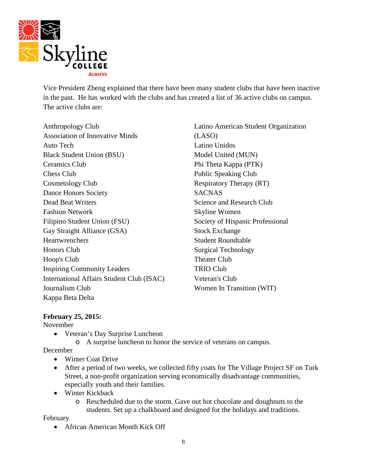

Vice President Zheng explained that there have been many student clubs that have been inactive in the past. He has worked with the clubs and has created a list of 36 active clubs on campus. The active clubs are:

Anthropology Club Association of Innovative Minds Auto Tech Black Student Union (BSU) Ceramics Club Chess Club Cosmetology Club Dance Honors Society Dead Beat Writers Fashion Network Filipino Student Union (FSU) Gay Straight Alliance (GSA) Heartwrenchers Honors Club Hoop's Club Inspiring Community Leaders International Affairs Student Club (ISAC) Journalism Club Kappa Beta Delta

Latino American Student Organization (LASO) Latino Unidos Model United (MUN) Phi Theta Kappa (PTK) Public Speaking Club Respiratory Therapy (RT) **SACNAS** Science and Research Club Skyline Women Society of Hispanic Professional Stock Exchange Student Roundtable Surgical Technology Theater Club TRIO Club Veteran's Club Women In Transition (WIT)

## **February 25, 2015:**

November

- Veteran's Day Surprise Luncheon
	- o A surprise luncheon to honor the service of veterans on campus.

December

- Winter Coat Drive
- After a period of two weeks, we collected fifty coats for The Village Project SF on Turk Street, a non-profit organization serving economically disadvantage communities, especially youth and their families.
- Winter Kickback
	- o Rescheduled due to the storm. Gave out hot chocolate and doughnuts to the students. Set up a chalkboard and designed for the holidays and traditions.

February

• African American Month Kick Off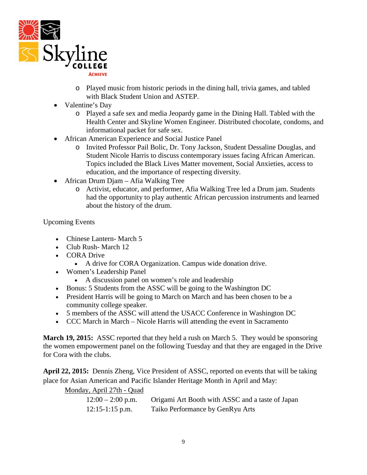

- o Played music from historic periods in the dining hall, trivia games, and tabled with Black Student Union and ASTEP.
- Valentine's Day
	- o Played a safe sex and media Jeopardy game in the Dining Hall. Tabled with the Health Center and Skyline Women Engineer. Distributed chocolate, condoms, and informational packet for safe sex.
- African American Experience and Social Justice Panel
	- o Invited Professor Pail Bolic, Dr. Tony Jackson, Student Dessaline Douglas, and Student Nicole Harris to discuss contemporary issues facing African American. Topics included the Black Lives Matter movement, Social Anxieties, access to education, and the importance of respecting diversity.
- African Drum Djam Afia Walking Tree
	- o Activist, educator, and performer, Afia Walking Tree led a Drum jam. Students had the opportunity to play authentic African percussion instruments and learned about the history of the drum.

Upcoming Events

- Chinese Lantern- March 5
- Club Rush-March 12
- CORA Drive
	- A drive for CORA Organization. Campus wide donation drive.
- Women's Leadership Panel
	- A discussion panel on women's role and leadership
- Bonus: 5 Students from the ASSC will be going to the Washington DC
- President Harris will be going to March on March and has been chosen to be a community college speaker.
- 5 members of the ASSC will attend the USACC Conference in Washington DC
- CCC March in March Nicole Harris will attending the event in Sacramento

**March 19, 2015:** ASSC reported that they held a rush on March 5. They would be sponsoring the women empowerment panel on the following Tuesday and that they are engaged in the Drive for Cora with the clubs.

**April 22, 2015:** Dennis Zheng, Vice President of ASSC, reported on events that will be taking place for Asian American and Pacific Islander Heritage Month in April and May:

Monday, April 27th - Quad

| $12:00 - 2:00$ p.m. | Origami Art Booth with ASSC and a taste of Japan |
|---------------------|--------------------------------------------------|
| $12:15-1:15$ p.m.   | Taiko Performance by GenRyu Arts                 |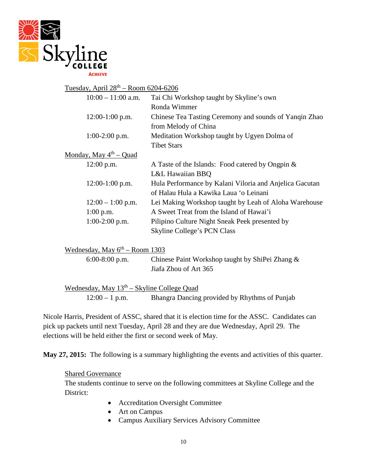

# Tuesday, April  $28^{th}$  – Room 6204-6206

| $10:00 - 11:00$ a.m.                     | Tai Chi Workshop taught by Skyline's own                |
|------------------------------------------|---------------------------------------------------------|
|                                          | Ronda Wimmer                                            |
| $12:00-1:00$ p.m.                        | Chinese Tea Tasting Ceremony and sounds of Yangin Zhao  |
|                                          | from Melody of China                                    |
| $1:00-2:00$ p.m.                         | Meditation Workshop taught by Ugyen Dolma of            |
|                                          | <b>Tibet Stars</b>                                      |
| <u>Monday, May 4<sup>th</sup> – Quad</u> |                                                         |
| 12:00 p.m.                               | A Taste of the Islands: Food catered by Ongpin $\&$     |
|                                          | L&L Hawaiian BBQ                                        |
| $12:00-1:00$ p.m.                        | Hula Performance by Kalani Viloria and Anjelica Gacutan |
|                                          | of Halau Hula a Kawika Laua 'o Leinani                  |
| $12:00 - 1:00$ p.m.                      | Lei Making Workshop taught by Leah of Aloha Warehouse   |
| $1:00$ p.m.                              | A Sweet Treat from the Island of Hawai'i                |
| $1:00-2:00$ p.m.                         | Pilipino Culture Night Sneak Peek presented by          |
|                                          | Skyline College's PCN Class                             |
|                                          |                                                         |

| Wednesday, May $6th$ – Room 1303 |                                                 |
|----------------------------------|-------------------------------------------------|
| $6:00-8:00$ p.m.                 | Chinese Paint Workshop taught by ShiPei Zhang & |
|                                  | Jiafa Zhou of Art 365                           |

Wednesday, May  $13<sup>th</sup> - Skyline College Quad$ 12:00 – 1 p.m. Bhangra Dancing provided by Rhythms of Punjab

Nicole Harris, President of ASSC, shared that it is election time for the ASSC. Candidates can pick up packets until next Tuesday, April 28 and they are due Wednesday, April 29. The elections will be held either the first or second week of May.

**May 27, 2015:** The following is a summary highlighting the events and activities of this quarter.

#### Shared Governance

The students continue to serve on the following committees at Skyline College and the District:

- Accreditation Oversight Committee
- Art on Campus
- Campus Auxiliary Services Advisory Committee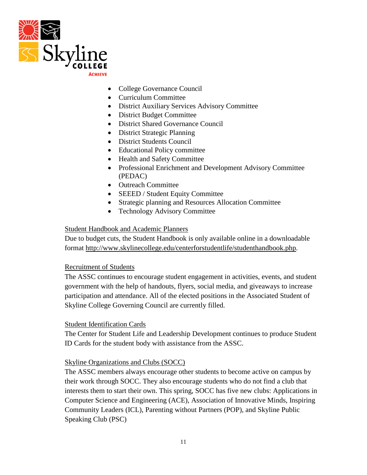

- College Governance Council
- Curriculum Committee
- District Auxiliary Services Advisory Committee
- District Budget Committee
- District Shared Governance Council
- District Strategic Planning
- District Students Council
- Educational Policy committee
- Health and Safety Committee
- Professional Enrichment and Development Advisory Committee (PEDAC)
- Outreach Committee
- SEEED / Student Equity Committee
- Strategic planning and Resources Allocation Committee
- Technology Advisory Committee

## Student Handbook and Academic Planners

Due to budget cuts, the Student Handbook is only available online in a downloadable format [http://www.skylinecollege.edu/centerforstudentlife/studenthandbook.php.](http://www.skylinecollege.edu/centerforstudentlife/studenthandbook.php)

## Recruitment of Students

The ASSC continues to encourage student engagement in activities, events, and student government with the help of handouts, flyers, social media, and giveaways to increase participation and attendance. All of the elected positions in the Associated Student of Skyline College Governing Council are currently filled.

## Student Identification Cards

The Center for Student Life and Leadership Development continues to produce Student ID Cards for the student body with assistance from the ASSC.

## Skyline Organizations and Clubs (SOCC)

The ASSC members always encourage other students to become active on campus by their work through SOCC. They also encourage students who do not find a club that interests them to start their own. This spring, SOCC has five new clubs: Applications in Computer Science and Engineering (ACE), Association of Innovative Minds, Inspiring Community Leaders (ICL), Parenting without Partners (POP), and Skyline Public Speaking Club (PSC)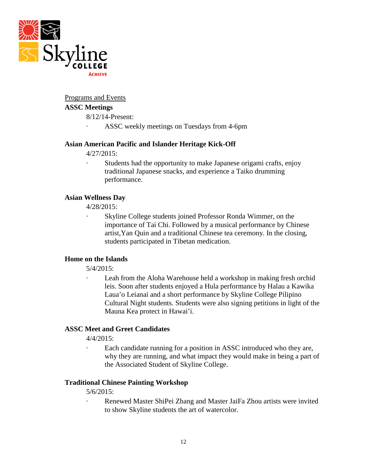

#### Programs and Events

### **ASSC Meetings**

- 8/12/14-Present:
- · ASSC weekly meetings on Tuesdays from 4-6pm

#### **Asian American Pacific and Islander Heritage Kick-Off**

4/27/2015:

· Students had the opportunity to make Japanese origami crafts, enjoy traditional Japanese snacks, and experience a Taiko drumming performance.

#### **Asian Wellness Day**

4/28/2015:

Skyline College students joined Professor Ronda Wimmer, on the importance of Tai Chi. Followed by a musical performance by Chinese artist,Yan Quin and a traditional Chinese tea ceremony. In the closing, students participated in Tibetan medication.

### **Home on the Islands**

5/4/2015:

Leah from the Aloha Warehouse held a workshop in making fresh orchid leis. Soon after students enjoyed a Hula performance by Halau a Kawika Laua'o Leianai and a short performance by Skyline College Pilipino Cultural Night students. Students were also signing petitions in light of the Mauna Kea protect in Hawai'i.

#### **ASSC Meet and Greet Candidates**

4/4/2015:

Each candidate running for a position in ASSC introduced who they are, why they are running, and what impact they would make in being a part of the Associated Student of Skyline College.

#### **Traditional Chinese Painting Workshop**

5/6/2015:

Renewed Master ShiPei Zhang and Master JaiFa Zhou artists were invited to show Skyline students the art of watercolor.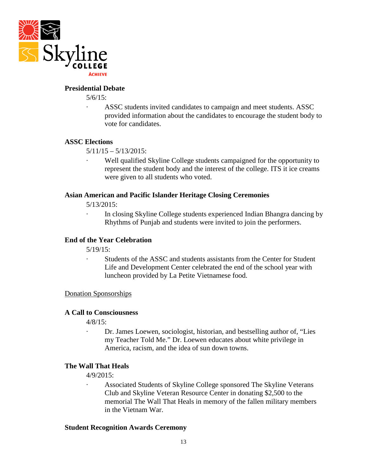

#### **Presidential Debate**

5/6/15:

· ASSC students invited candidates to campaign and meet students. ASSC provided information about the candidates to encourage the student body to vote for candidates.

#### **ASSC Elections**

 $5/11/15 - 5/13/2015$ :

Well qualified Skyline College students campaigned for the opportunity to represent the student body and the interest of the college. ITS it ice creams were given to all students who voted.

#### **Asian American and Pacific Islander Heritage Closing Ceremonies**

5/13/2015:

· In closing Skyline College students experienced Indian Bhangra dancing by Rhythms of Punjab and students were invited to join the performers.

#### **End of the Year Celebration**

5/19/15:

Students of the ASSC and students assistants from the Center for Student Life and Development Center celebrated the end of the school year with luncheon provided by La Petite Vietnamese food.

#### Donation Sponsorships

#### **A Call to Consciousness**

4/8/15:

· Dr. James Loewen, sociologist, historian, and bestselling author of, "Lies my Teacher Told Me." Dr. Loewen educates about white privilege in America, racism, and the idea of sun down towns.

#### **The Wall That Heals**

4/9/2015:

Associated Students of Skyline College sponsored The Skyline Veterans Club and Skyline Veteran Resource Center in donating \$2,500 to the memorial The Wall That Heals in memory of the fallen military members in the Vietnam War.

#### **Student Recognition Awards Ceremony**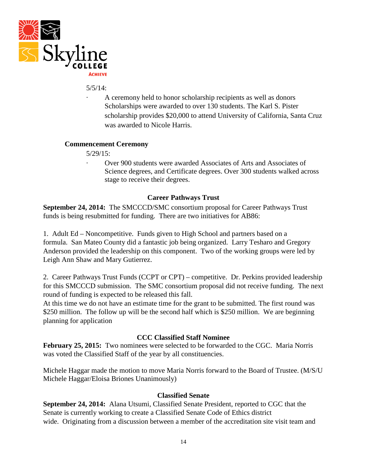

#### 5/5/14:

A ceremony held to honor scholarship recipients as well as donors Scholarships were awarded to over 130 students. The Karl S. Pister scholarship provides \$20,000 to attend University of California, Santa Cruz was awarded to Nicole Harris.

### **Commencement Ceremony**

5/29/15:

· Over 900 students were awarded Associates of Arts and Associates of Science degrees, and Certificate degrees. Over 300 students walked across stage to receive their degrees.

## **Career Pathways Trust**

**September 24, 2014:** The SMCCCD/SMC consortium proposal for Career Pathways Trust funds is being resubmitted for funding. There are two initiatives for AB86:

1. Adult Ed – Noncompetitive. Funds given to High School and partners based on a formula. San Mateo County did a fantastic job being organized. Larry Tesharo and Gregory Anderson provided the leadership on this component. Two of the working groups were led by Leigh Ann Shaw and Mary Gutierrez.

2. Career Pathways Trust Funds (CCPT or CPT) – competitive. Dr. Perkins provided leadership for this SMCCCD submission. The SMC consortium proposal did not receive funding. The next round of funding is expected to be released this fall.

At this time we do not have an estimate time for the grant to be submitted. The first round was \$250 million. The follow up will be the second half which is \$250 million. We are beginning planning for application

#### **CCC Classified Staff Nominee**

**February 25, 2015:** Two nominees were selected to be forwarded to the CGC. Maria Norris was voted the Classified Staff of the year by all constituencies.

Michele Haggar made the motion to move Maria Norris forward to the Board of Trustee. (M/S/U Michele Haggar/Eloisa Briones Unanimously)

#### **Classified Senate**

**September 24, 2014:** Alana Utsumi, Classified Senate President, reported to CGC that the Senate is currently working to create a Classified Senate Code of Ethics district wide. Originating from a discussion between a member of the accreditation site visit team and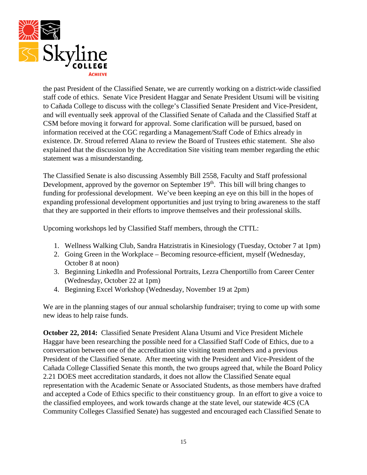

the past President of the Classified Senate, we are currently working on a district-wide classified staff code of ethics. Senate Vice President Haggar and Senate President Utsumi will be visiting to Cañada College to discuss with the college's Classified Senate President and Vice-President, and will eventually seek approval of the Classified Senate of Cañada and the Classified Staff at CSM before moving it forward for approval. Some clarification will be pursued, based on information received at the CGC regarding a Management/Staff Code of Ethics already in existence. Dr. Stroud referred Alana to review the Board of Trustees ethic statement. She also explained that the discussion by the Accreditation Site visiting team member regarding the ethic statement was a misunderstanding.

The Classified Senate is also discussing Assembly Bill 2558, Faculty and Staff professional Development, approved by the governor on September  $19<sup>th</sup>$ . This bill will bring changes to funding for professional development. We've been keeping an eye on this bill in the hopes of expanding professional development opportunities and just trying to bring awareness to the staff that they are supported in their efforts to improve themselves and their professional skills.

Upcoming workshops led by Classified Staff members, through the CTTL:

- 1. Wellness Walking Club, Sandra Hatzistratis in Kinesiology (Tuesday, October 7 at 1pm)
- 2. Going Green in the Workplace Becoming resource-efficient, myself (Wednesday, October 8 at noon)
- 3. Beginning LinkedIn and Professional Portraits, Lezra Chenportillo from Career Center (Wednesday, October 22 at 1pm)
- 4. Beginning Excel Workshop (Wednesday, November 19 at 2pm)

We are in the planning stages of our annual scholarship fundraiser; trying to come up with some new ideas to help raise funds.

**October 22, 2014:** Classified Senate President Alana Utsumi and Vice President Michele Haggar have been researching the possible need for a Classified Staff Code of Ethics, due to a conversation between one of the accreditation site visiting team members and a previous President of the Classified Senate. After meeting with the President and Vice-President of the Cañada College Classified Senate this month, the two groups agreed that, while the Board Policy 2.21 DOES meet accreditation standards, it does not allow the Classified Senate equal representation with the Academic Senate or Associated Students, as those members have drafted and accepted a Code of Ethics specific to their constituency group. In an effort to give a voice to the classified employees, and work towards change at the state level, our statewide 4CS (CA Community Colleges Classified Senate) has suggested and encouraged each Classified Senate to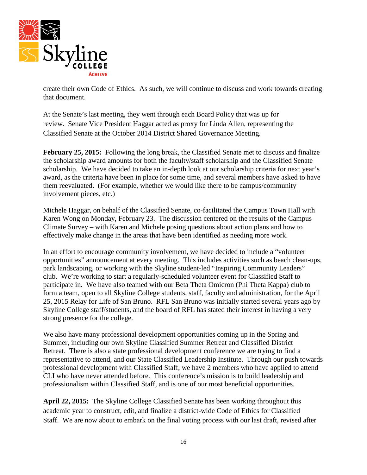

create their own Code of Ethics. As such, we will continue to discuss and work towards creating that document.

At the Senate's last meeting, they went through each Board Policy that was up for review. Senate Vice President Haggar acted as proxy for Linda Allen, representing the Classified Senate at the October 2014 District Shared Governance Meeting.

**February 25, 2015:** Following the long break, the Classified Senate met to discuss and finalize the scholarship award amounts for both the faculty/staff scholarship and the Classified Senate scholarship. We have decided to take an in-depth look at our scholarship criteria for next year's award, as the criteria have been in place for some time, and several members have asked to have them reevaluated. (For example, whether we would like there to be campus/community involvement pieces, etc.)

Michele Haggar, on behalf of the Classified Senate, co-facilitated the Campus Town Hall with Karen Wong on Monday, February 23. The discussion centered on the results of the Campus Climate Survey – with Karen and Michele posing questions about action plans and how to effectively make change in the areas that have been identified as needing more work.

In an effort to encourage community involvement, we have decided to include a "volunteer opportunities" announcement at every meeting. This includes activities such as beach clean-ups, park landscaping, or working with the Skyline student-led "Inspiring Community Leaders" club. We're working to start a regularly-scheduled volunteer event for Classified Staff to participate in. We have also teamed with our Beta Theta Omicron (Phi Theta Kappa) club to form a team, open to all Skyline College students, staff, faculty and administration, for the April 25, 2015 Relay for Life of San Bruno. RFL San Bruno was initially started several years ago by Skyline College staff/students, and the board of RFL has stated their interest in having a very strong presence for the college.

We also have many professional development opportunities coming up in the Spring and Summer, including our own Skyline Classified Summer Retreat and Classified District Retreat. There is also a state professional development conference we are trying to find a representative to attend, and our State Classified Leadership Institute. Through our push towards professional development with Classified Staff, we have 2 members who have applied to attend CLI who have never attended before. This conference's mission is to build leadership and professionalism within Classified Staff, and is one of our most beneficial opportunities.

**April 22, 2015:** The Skyline College Classified Senate has been working throughout this academic year to construct, edit, and finalize a district-wide Code of Ethics for Classified Staff. We are now about to embark on the final voting process with our last draft, revised after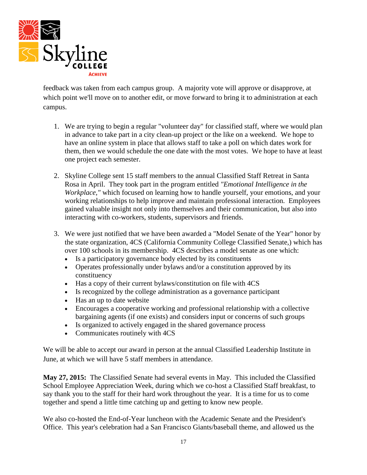

feedback was taken from each campus group. A majority vote will approve or disapprove, at which point we'll move on to another edit, or move forward to bring it to administration at each campus.

- 1. We are trying to begin a regular "volunteer day" for classified staff, where we would plan in advance to take part in a city clean-up project or the like on a weekend. We hope to have an online system in place that allows staff to take a poll on which dates work for them, then we would schedule the one date with the most votes. We hope to have at least one project each semester.
- 2. Skyline College sent 15 staff members to the annual Classified Staff Retreat in Santa Rosa in April. They took part in the program entitled *"Emotional Intelligence in the Workplace,"* which focused on learning how to handle yourself, your emotions, and your working relationships to help improve and maintain professional interaction. Employees gained valuable insight not only into themselves and their communication, but also into interacting with co-workers, students, supervisors and friends.
- 3. We were just notified that we have been awarded a "Model Senate of the Year" honor by the state organization, 4CS (California Community College Classified Senate,) which has over 100 schools in its membership. 4CS describes a model senate as one which:
	- Is a participatory governance body elected by its constituents
	- Operates professionally under bylaws and/or a constitution approved by its constituency
	- Has a copy of their current bylaws/constitution on file with 4CS
	- Is recognized by the college administration as a governance participant
	- Has an up to date website
	- Encourages a cooperative working and professional relationship with a collective bargaining agents (if one exists) and considers input or concerns of such groups
	- Is organized to actively engaged in the shared governance process
	- Communicates routinely with 4CS

We will be able to accept our award in person at the annual Classified Leadership Institute in June, at which we will have 5 staff members in attendance.

**May 27, 2015:** The Classified Senate had several events in May. This included the Classified School Employee Appreciation Week, during which we co-host a Classified Staff breakfast, to say thank you to the staff for their hard work throughout the year. It is a time for us to come together and spend a little time catching up and getting to know new people.

We also co-hosted the End-of-Year luncheon with the Academic Senate and the President's Office. This year's celebration had a San Francisco Giants/baseball theme, and allowed us the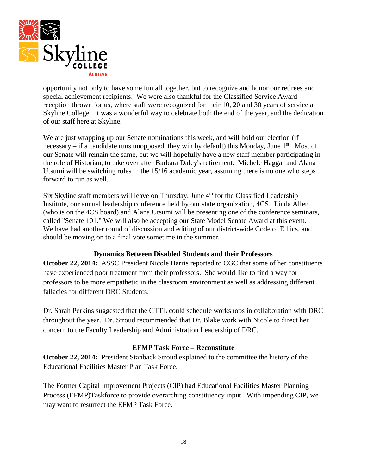

opportunity not only to have some fun all together, but to recognize and honor our retirees and special achievement recipients. We were also thankful for the Classified Service Award reception thrown for us, where staff were recognized for their 10, 20 and 30 years of service at Skyline College. It was a wonderful way to celebrate both the end of the year, and the dedication of our staff here at Skyline.

We are just wrapping up our Senate nominations this week, and will hold our election (if necessary – if a candidate runs unopposed, they win by default) this Monday, June  $1<sup>st</sup>$ . Most of our Senate will remain the same, but we will hopefully have a new staff member participating in the role of Historian, to take over after Barbara Daley's retirement. Michele Haggar and Alana Utsumi will be switching roles in the 15/16 academic year, assuming there is no one who steps forward to run as well.

Six Skyline staff members will leave on Thursday, June  $4<sup>th</sup>$  for the Classified Leadership Institute, our annual leadership conference held by our state organization, 4CS. Linda Allen (who is on the 4CS board) and Alana Utsumi will be presenting one of the conference seminars, called "Senate 101." We will also be accepting our State Model Senate Award at this event. We have had another round of discussion and editing of our district-wide Code of Ethics, and should be moving on to a final vote sometime in the summer.

## **Dynamics Between Disabled Students and their Professors**

**October 22, 2014:** ASSC President Nicole Harris reported to CGC that some of her constituents have experienced poor treatment from their professors. She would like to find a way for professors to be more empathetic in the classroom environment as well as addressing different fallacies for different DRC Students.

Dr. Sarah Perkins suggested that the CTTL could schedule workshops in collaboration with DRC throughout the year. Dr. Stroud recommended that Dr. Blake work with Nicole to direct her concern to the Faculty Leadership and Administration Leadership of DRC.

## **EFMP Task Force – Reconstitute**

**October 22, 2014:** President Stanback Stroud explained to the committee the history of the Educational Facilities Master Plan Task Force.

The Former Capital Improvement Projects (CIP) had Educational Facilities Master Planning Process (EFMP)Taskforce to provide overarching constituency input. With impending CIP, we may want to resurrect the EFMP Task Force.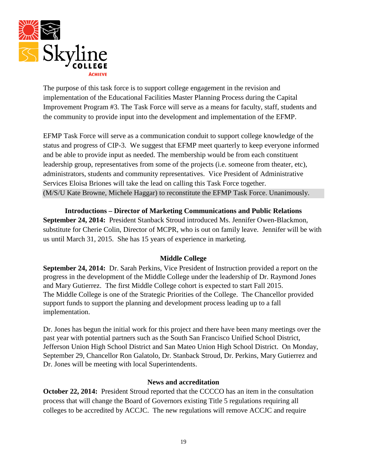

The purpose of this task force is to support college engagement in the revision and implementation of the Educational Facilities Master Planning Process during the Capital Improvement Program #3. The Task Force will serve as a means for faculty, staff, students and the community to provide input into the development and implementation of the EFMP.

EFMP Task Force will serve as a communication conduit to support college knowledge of the status and progress of CIP-3. We suggest that EFMP meet quarterly to keep everyone informed and be able to provide input as needed. The membership would be from each constituent leadership group, representatives from some of the projects (i.e. someone from theater, etc), administrators, students and community representatives. Vice President of Administrative Services Eloisa Briones will take the lead on calling this Task Force together. (M/S/U Kate Browne, Michele Haggar) to reconstitute the EFMP Task Force. Unanimously.

**Introductions – Director of Marketing Communications and Public Relations**

**September 24, 2014:** President Stanback Stroud introduced Ms. Jennifer Owen-Blackmon, substitute for Cherie Colin, Director of MCPR, who is out on family leave. Jennifer will be with us until March 31, 2015. She has 15 years of experience in marketing.

## **Middle College**

**September 24, 2014:** Dr. Sarah Perkins, Vice President of Instruction provided a report on the progress in the development of the Middle College under the leadership of Dr. Raymond Jones and Mary Gutierrez. The first Middle College cohort is expected to start Fall 2015. The Middle College is one of the Strategic Priorities of the College. The Chancellor provided support funds to support the planning and development process leading up to a fall implementation.

Dr. Jones has begun the initial work for this project and there have been many meetings over the past year with potential partners such as the South San Francisco Unified School District, Jefferson Union High School District and San Mateo Union High School District. On Monday, September 29, Chancellor Ron Galatolo, Dr. Stanback Stroud, Dr. Perkins, Mary Gutierrez and Dr. Jones will be meeting with local Superintendents.

#### **News and accreditation**

**October 22, 2014:** President Stroud reported that the CCCCO has an item in the consultation process that will change the Board of Governors existing Title 5 regulations requiring all colleges to be accredited by ACCJC. The new regulations will remove ACCJC and require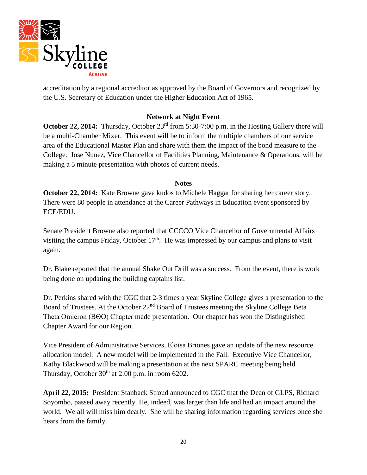

accreditation by a regional accreditor as approved by the Board of Governors and recognized by the U.S. Secretary of Education under the Higher Education Act of 1965.

### **Network at Night Event**

**October 22, 2014:** Thursday, October 23<sup>rd</sup> from 5:30-7:00 p.m. in the Hosting Gallery there will be a multi-Chamber Mixer. This event will be to inform the multiple chambers of our service area of the Educational Master Plan and share with them the impact of the bond measure to the College. Jose Nunez, Vice Chancellor of Facilities Planning, Maintenance & Operations, will be making a 5 minute presentation with photos of current needs.

#### **Notes**

**October 22, 2014:** Kate Browne gave kudos to Michele Haggar for sharing her career story. There were 80 people in attendance at the Career Pathways in Education event sponsored by ECE/EDU.

Senate President Browne also reported that CCCCO Vice Chancellor of Governmental Affairs visiting the campus Friday, October  $17<sup>th</sup>$ . He was impressed by our campus and plans to visit again.

Dr. Blake reported that the annual Shake Out Drill was a success. From the event, there is work being done on updating the building captains list.

Dr. Perkins shared with the CGC that 2-3 times a year Skyline College gives a presentation to the Board of Trustees. At the October 22nd Board of Trustees meeting the Skyline College Beta Theta Omicron (BΘO) Chapter made presentation. Our chapter has won the Distinguished Chapter Award for our Region.

Vice President of Administrative Services, Eloisa Briones gave an update of the new resource allocation model. A new model will be implemented in the Fall. Executive Vice Chancellor, Kathy Blackwood will be making a presentation at the next SPARC meeting being held Thursday, October  $30<sup>th</sup>$  at 2:00 p.m. in room 6202.

**April 22, 2015:** President Stanback Stroud announced to CGC that the Dean of GLPS, Richard Soyombo, passed away recently. He, indeed, was larger than life and had an impact around the world. We all will miss him dearly. She will be sharing information regarding services once she hears from the family.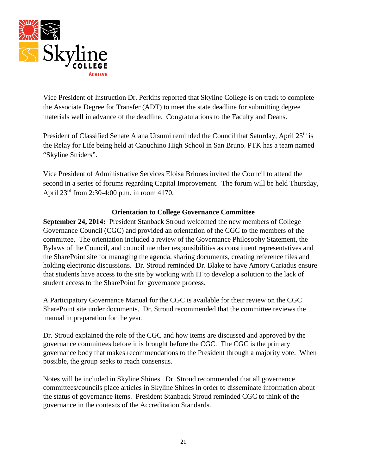

Vice President of Instruction Dr. Perkins reported that Skyline College is on track to complete the Associate Degree for Transfer (ADT) to meet the state deadline for submitting degree materials well in advance of the deadline. Congratulations to the Faculty and Deans.

President of Classified Senate Alana Utsumi reminded the Council that Saturday, April 25<sup>th</sup> is the Relay for Life being held at Capuchino High School in San Bruno. PTK has a team named "Skyline Striders".

Vice President of Administrative Services Eloisa Briones invited the Council to attend the second in a series of forums regarding Capital Improvement. The forum will be held Thursday, April 23rd from 2:30-4:00 p.m. in room 4170.

## **Orientation to College Governance Committee**

**September 24, 2014:** President Stanback Stroud welcomed the new members of College Governance Council (CGC) and provided an orientation of the CGC to the members of the committee. The orientation included a review of the Governance Philosophy Statement, the Bylaws of the Council, and council member responsibilities as constituent representatives and the SharePoint site for managing the agenda, sharing documents, creating reference files and holding electronic discussions. Dr. Stroud reminded Dr. Blake to have Amory Cariadus ensure that students have access to the site by working with IT to develop a solution to the lack of student access to the SharePoint for governance process.

A Participatory Governance Manual for the CGC is available for their review on the CGC SharePoint site under documents. Dr. Stroud recommended that the committee reviews the manual in preparation for the year.

Dr. Stroud explained the role of the CGC and how items are discussed and approved by the governance committees before it is brought before the CGC. The CGC is the primary governance body that makes recommendations to the President through a majority vote. When possible, the group seeks to reach consensus.

Notes will be included in Skyline Shines. Dr. Stroud recommended that all governance committees/councils place articles in Skyline Shines in order to disseminate information about the status of governance items. President Stanback Stroud reminded CGC to think of the governance in the contexts of the Accreditation Standards.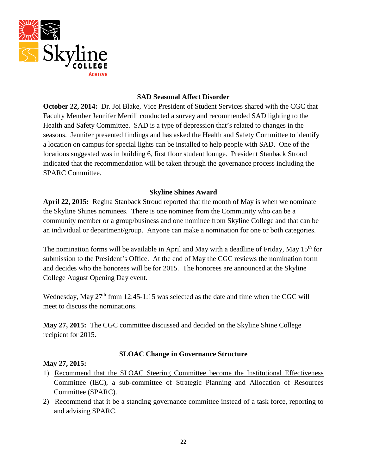

### **SAD Seasonal Affect Disorder**

**October 22, 2014:** Dr. Joi Blake, Vice President of Student Services shared with the CGC that Faculty Member Jennifer Merrill conducted a survey and recommended SAD lighting to the Health and Safety Committee. SAD is a type of depression that's related to changes in the seasons. Jennifer presented findings and has asked the Health and Safety Committee to identify a location on campus for special lights can be installed to help people with SAD. One of the locations suggested was in building 6, first floor student lounge. President Stanback Stroud indicated that the recommendation will be taken through the governance process including the SPARC Committee.

### **Skyline Shines Award**

**April 22, 2015:** Regina Stanback Stroud reported that the month of May is when we nominate the Skyline Shines nominees. There is one nominee from the Community who can be a community member or a group/business and one nominee from Skyline College and that can be an individual or department/group. Anyone can make a nomination for one or both categories.

The nomination forms will be available in April and May with a deadline of Friday, May 15<sup>th</sup> for submission to the President's Office. At the end of May the CGC reviews the nomination form and decides who the honorees will be for 2015. The honorees are announced at the Skyline College August Opening Day event.

Wednesday, May  $27<sup>th</sup>$  from 12:45-1:15 was selected as the date and time when the CGC will meet to discuss the nominations.

**May 27, 2015:** The CGC committee discussed and decided on the Skyline Shine College recipient for 2015.

## **SLOAC Change in Governance Structure**

## **May 27, 2015:**

- 1) Recommend that the SLOAC Steering Committee become the Institutional Effectiveness Committee (IEC), a sub-committee of Strategic Planning and Allocation of Resources Committee (SPARC).
- 2) Recommend that it be a standing governance committee instead of a task force, reporting to and advising SPARC.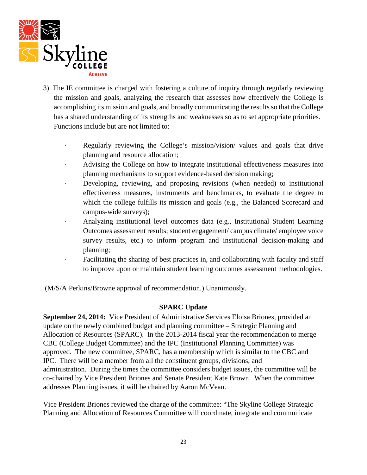

- 3) The IE committee is charged with fostering a culture of inquiry through regularly reviewing the mission and goals, analyzing the research that assesses how effectively the College is accomplishing its mission and goals, and broadly communicating the results so that the College has a shared understanding of its strengths and weaknesses so as to set appropriate priorities. Functions include but are not limited to:
	- · Regularly reviewing the College's mission/vision/ values and goals that drive planning and resource allocation;
	- Advising the College on how to integrate institutional effectiveness measures into planning mechanisms to support evidence-based decision making;
	- · Developing, reviewing, and proposing revisions (when needed) to institutional effectiveness measures, instruments and benchmarks, to evaluate the degree to which the college fulfills its mission and goals (e.g., the Balanced Scorecard and campus-wide surveys);
	- · Analyzing institutional level outcomes data (e.g., Institutional Student Learning Outcomes assessment results; student engagement/ campus climate/ employee voice survey results, etc.) to inform program and institutional decision-making and planning;
	- · Facilitating the sharing of best practices in, and collaborating with faculty and staff to improve upon or maintain student learning outcomes assessment methodologies.

(M/S/A Perkins/Browne approval of recommendation.) Unanimously.

## **SPARC Update**

**September 24, 2014:** Vice President of Administrative Services Eloisa Briones, provided an update on the newly combined budget and planning committee – Strategic Planning and Allocation of Resources (SPARC). In the 2013-2014 fiscal year the recommendation to merge CBC (College Budget Committee) and the IPC (Institutional Planning Committee) was approved. The new committee, SPARC, has a membership which is similar to the CBC and IPC. There will be a member from all the constituent groups, divisions, and administration. During the times the committee considers budget issues, the committee will be co-chaired by Vice President Briones and Senate President Kate Brown. When the committee addresses Planning issues, it will be chaired by Aaron McVean.

Vice President Briones reviewed the charge of the committee: "The Skyline College Strategic Planning and Allocation of Resources Committee will coordinate, integrate and communicate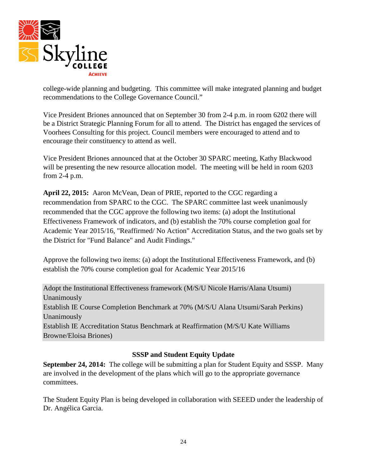

college-wide planning and budgeting. This committee will make integrated planning and budget recommendations to the College Governance Council."

Vice President Briones announced that on September 30 from 2-4 p.m. in room 6202 there will be a District Strategic Planning Forum for all to attend. The District has engaged the services of Voorhees Consulting for this project. Council members were encouraged to attend and to encourage their constituency to attend as well.

Vice President Briones announced that at the October 30 SPARC meeting, Kathy Blackwood will be presenting the new resource allocation model. The meeting will be held in room 6203 from 2-4 p.m.

**April 22, 2015:** Aaron McVean, Dean of PRIE, reported to the CGC regarding a recommendation from SPARC to the CGC. The SPARC committee last week unanimously recommended that the CGC approve the following two items: (a) adopt the Institutional Effectiveness Framework of indicators, and (b) establish the 70% course completion goal for Academic Year 2015/16, "Reaffirmed/ No Action" Accreditation Status, and the two goals set by the District for "Fund Balance" and Audit Findings."

Approve the following two items: (a) adopt the Institutional Effectiveness Framework, and (b) establish the 70% course completion goal for Academic Year 2015/16

Adopt the Institutional Effectiveness framework (M/S/U Nicole Harris/Alana Utsumi) Unanimously Establish IE Course Completion Benchmark at 70% (M/S/U Alana Utsumi/Sarah Perkins) Unanimously Establish IE Accreditation Status Benchmark at Reaffirmation (M/S/U Kate Williams Browne/Eloisa Briones)

# **SSSP and Student Equity Update**

**September 24, 2014:** The college will be submitting a plan for Student Equity and SSSP. Many are involved in the development of the plans which will go to the appropriate governance committees.

The Student Equity Plan is being developed in collaboration with SEEED under the leadership of Dr. Angélica Garcia.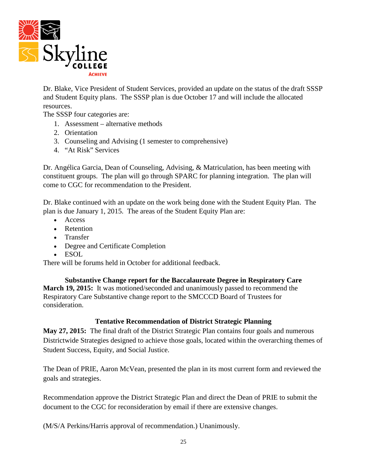

Dr. Blake, Vice President of Student Services, provided an update on the status of the draft SSSP and Student Equity plans. The SSSP plan is due October 17 and will include the allocated resources.

The SSSP four categories are:

- 1. Assessment alternative methods
- 2. Orientation
- 3. Counseling and Advising (1 semester to comprehensive)
- 4. "At Risk" Services

Dr. Angélica Garcia, Dean of Counseling, Advising, & Matriculation, has been meeting with constituent groups. The plan will go through SPARC for planning integration. The plan will come to CGC for recommendation to the President.

Dr. Blake continued with an update on the work being done with the Student Equity Plan. The plan is due January 1, 2015. The areas of the Student Equity Plan are:

- Access
- Retention
- Transfer
- Degree and Certificate Completion
- ESOL

There will be forums held in October for additional feedback.

**Substantive Change report for the Baccalaureate Degree in Respiratory Care March 19, 2015:** It was motioned/seconded and unanimously passed to recommend the Respiratory Care Substantive change report to the SMCCCD Board of Trustees for consideration.

## **Tentative Recommendation of District Strategic Planning**

**May 27, 2015:** The final draft of the District Strategic Plan contains four goals and numerous Districtwide Strategies designed to achieve those goals, located within the overarching themes of Student Success, Equity, and Social Justice.

The Dean of PRIE, Aaron McVean, presented the plan in its most current form and reviewed the goals and strategies.

Recommendation approve the District Strategic Plan and direct the Dean of PRIE to submit the document to the CGC for reconsideration by email if there are extensive changes.

(M/S/A Perkins/Harris approval of recommendation.) Unanimously.